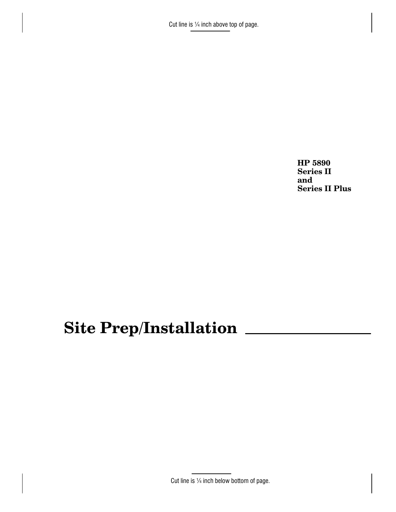Cut line is  $\frac{1}{4}$  inch above top of page.

HP 5890 **Series II** and **Series II Plus** 

# Site Prep/Installation

Cut line is 1/4 inch below bottom of page.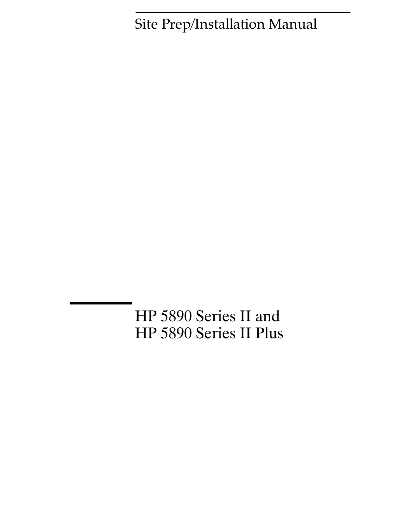Site Prep/Installation Manual

HP 5890 Series II and HP 5890 Series II Plus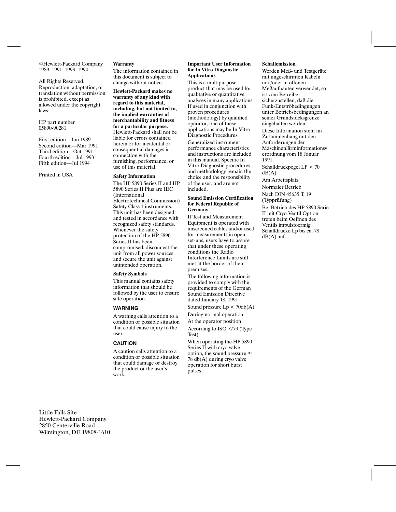©Hewlett-Packard Company 1989, 1991, 1993, 1994

All Rights Reserved. Reproduction, adaptation, or translation without permission is prohibited, except as allowed under the copyright laws.

HP part number 05890-90281

First edition-Jun 1989 Second edition-Mar 1991 Third edition-Oct 1991 Fourth edition-Jul 1993 Fifth edition-Jul 1994

Printed in USA

#### Warranty

The information contained in this document is subject to change without notice.

Hewlett-Packard makes no warranty of any kind with regard to this material. including, but not limited to, the implied warranties of merchantability and fitness for a particular purpose. Hewlett-Packard shall not be liable for errors contained herein or for incidental or consequential damages in connection with the furnishing, performance, or use of this material.

#### **Safety Information**

The HP 5890 Series II and HP 5890 Series II Plus are IEC (International Electrotechnical Commission) Safety Class 1 instruments. This unit has been designed and tested in accordance with recognized safety standards. Whenever the safety protection of the HP 5890 Series II has been compromised, disconnect the unit from all power sources and secure the unit against unintended operation.

#### **Safety Symbols**

This manual contains safety information that should be followed by the user to ensure safe operation.

#### **WARNING**

A warning calls attention to a condition or possible situation that could cause injury to the user.

#### **CAUTION**

A caution calls attention to a condition or possible situation that could damage or destroy the product or the user's work.

#### **Important User Information** for In Vitro Diagnostic **Applications**

This is a multipurpose product that may be used for qualitative or quantitative analyses in many applications. If used in conjunction with proven procedures (methodology) by qualified operator, one of these applications may be In Vitro Diagnostic Procedures. Generalized instrument performance characteristics and instructions are included in this manual. Specific In Vitro Diagnostic procedures and methodology remain the choice and the responsibility of the user, and are not included.

#### **Sound Emission Certification** for Federal Republic of Germany

If Test and Measurement Equipment is operated with unscreened cables and/or used for measurements in open set-ups, users have to assure that under these operating conditions the Radio Interference Limits are still met at the border of their premises.

The following information is provided to comply with the requirements of the German Sound Emission Directive dated January 18, 1991 Sound pressure  $Lp < 70db(A)$ 

During normal operation

At the operator position According to ISO 7779 (Type Test)

When operating the HP 5890 Series II with cryo valve option, the sound pressure  $\approx$ 78 db(A) during cryo valve operation for short burst pulses.

#### Schallemission

Werden Meß- und Testgeräte mit ungeschirmten Kabeln und/oder in offenen Meßaufbauten verwendet, so ist vom Betreiber sicherzustellen, daß die Funk-Entströbedingungen unter Betriebsbedingungen an seiner Grundstücksgrenze eingehalten werden. Diese Information steht im Zusammenhang mit den Anforderungen der Maschinenlärminformationsv erordnung vom 18 Januar 1991. Schalldruckpegel LP < 70  $dB(A)$ Am Arbeitsplatz Normaler Betrieb Nach DIN 45635 T. 19 (Typprüfung)

Bei Betrieb des HP 5890 Serie II mit Cryo Ventil Option treten beim Oeffnen des Ventils impulsfoermig Schalldrucke Lp bis ca. 78  $dB(A)$  auf.

Little Falls Site Hewlett-Packard Company 2850 Centerville Road Wilmington, DE 19808-1610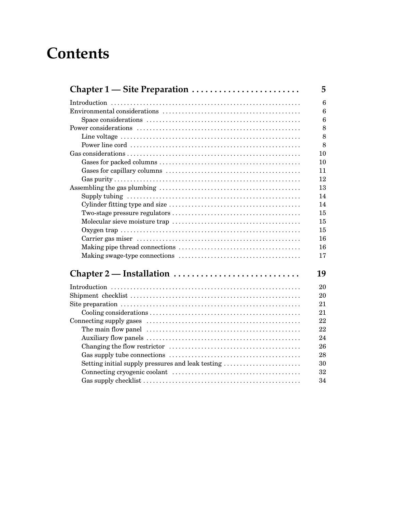# **Contents**

| Chapter 1 — Site Preparation                      | 5                |
|---------------------------------------------------|------------------|
|                                                   | 6                |
|                                                   | 6                |
|                                                   | $\boldsymbol{6}$ |
|                                                   | 8                |
|                                                   | 8                |
|                                                   | 8                |
|                                                   | 10               |
|                                                   | 10               |
|                                                   | 11               |
|                                                   | 12               |
|                                                   | 13               |
|                                                   | 14               |
|                                                   | 14               |
|                                                   | 15               |
|                                                   | 15               |
|                                                   | 15               |
|                                                   | 16               |
|                                                   | 16               |
|                                                   | 17               |
| Chapter 2 — Installation                          | 19               |
|                                                   | 20               |
|                                                   | 20               |
|                                                   | 21               |
|                                                   | 21               |
|                                                   | 22               |
|                                                   | 22               |
|                                                   | 24               |
|                                                   | 26               |
|                                                   | 28               |
| Setting initial supply pressures and leak testing | 30               |
|                                                   | 32               |
|                                                   | 34               |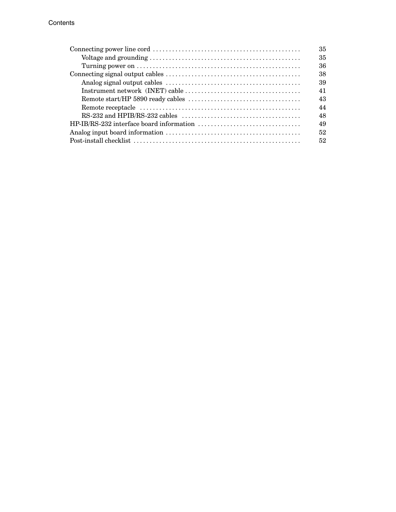| 35 |
|----|
| 35 |
| 36 |
| 38 |
| 39 |
| 41 |
| 43 |
| 44 |
| 48 |
| 49 |
| 52 |
| 52 |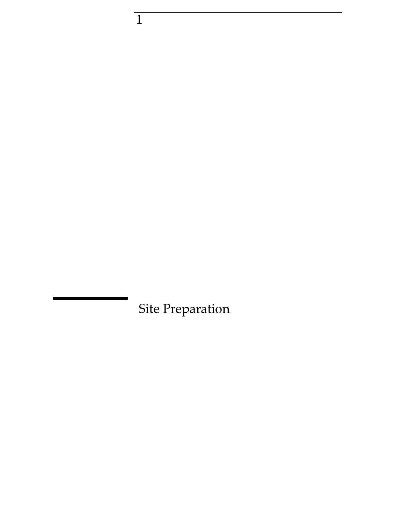Site Preparation

 $\overline{1}$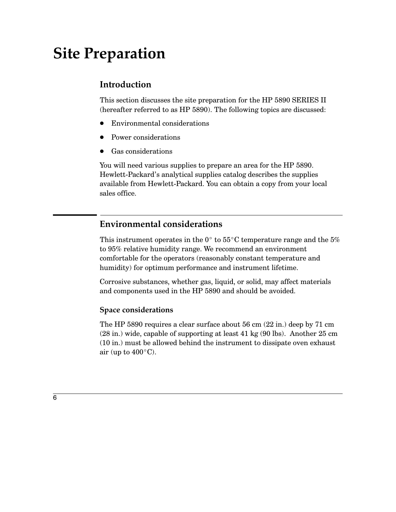# **Site Preparation**

## Introduction

This section discusses the site preparation for the HP 5890 SERIES II (hereafter referred to as HP 5890). The following topics are discussed:

- Environmental considerations
- Power considerations
- Gas considerations

You will need various supplies to prepare an area for the HP 5890. Hewlett-Packard's analytical supplies catalog describes the supplies available from Hewlett-Packard. You can obtain a copy from your local sales office.

### **Environmental considerations**

This instrument operates in the  $0^{\circ}$  to  $55^{\circ}$ C temperature range and the 5% to 95% relative humidity range. We recommend an environment comfortable for the operators (reasonably constant temperature and humidity) for optimum performance and instrument lifetime.

Corrosive substances, whether gas, liquid, or solid, may affect materials and components used in the HP 5890 and should be avoided.

### **Space considerations**

The HP 5890 requires a clear surface about 56 cm (22 in.) deep by 71 cm  $(28 \text{ in.})$  wide, capable of supporting at least 41 kg  $(90 \text{ lbs})$ . Another  $25 \text{ cm}$ (10 in.) must be allowed behind the instrument to dissipate oven exhaust air (up to  $400^{\circ}$ C).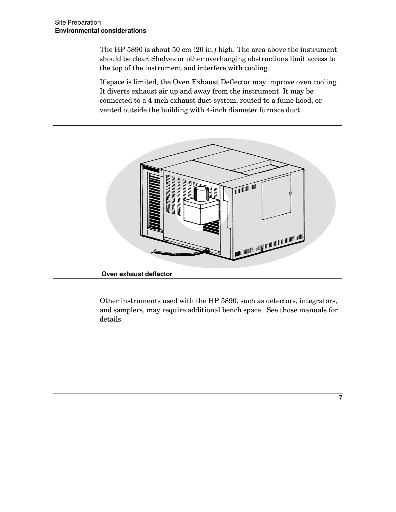The HP 5890 is about 50 cm (20 in.) high. The area above the instrument should be clear. Shelves or other overhanging obstructions limit access to the top of the instrument and interfere with cooling.

If space is limited, the Oven Exhaust Deflector may improve oven cooling. It diverts exhaust air up and away from the instrument. It may be connected to a 4-inch exhaust duct system, routed to a fume hood, or vented outside the building with 4-inch diameter furnace duct.



Other instruments used with the HP 5890, such as detectors, integrators, and samplers, may require additional bench space. See those manuals for details.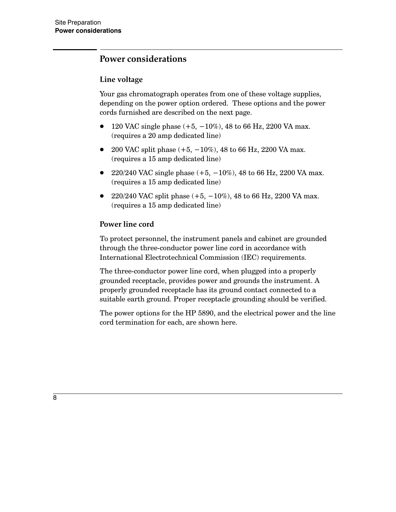### **Power considerations**

### Line voltage

Your gas chromatograph operates from one of these voltage supplies, depending on the power option ordered. These options and the power cords furnished are described on the next page.

- 120 VAC single phase  $(+5, -10\%)$ , 48 to 66 Hz, 2200 VA max. (requires a 20 amp dedicated line)
- 200 VAC split phase  $(+5, -10\%)$ , 48 to 66 Hz, 2200 VA max. (requires a 15 amp dedicated line)
- 220/240 VAC single phase  $(+5, -10\%)$ , 48 to 66 Hz, 2200 VA max. (requires a 15 amp dedicated line)
- 220/240 VAC split phase  $(+5, -10\%)$ , 48 to 66 Hz, 2200 VA max. (requires a 15 amp dedicated line)

### Power line cord

To protect personnel, the instrument panels and cabinet are grounded through the three-conductor power line cord in accordance with International Electrotechnical Commission (IEC) requirements.

The three-conductor power line cord, when plugged into a properly grounded receptacle, provides power and grounds the instrument. A properly grounded receptacle has its ground contact connected to a suitable earth ground. Proper receptacle grounding should be verified.

The power options for the HP 5890, and the electrical power and the line cord termination for each, are shown here.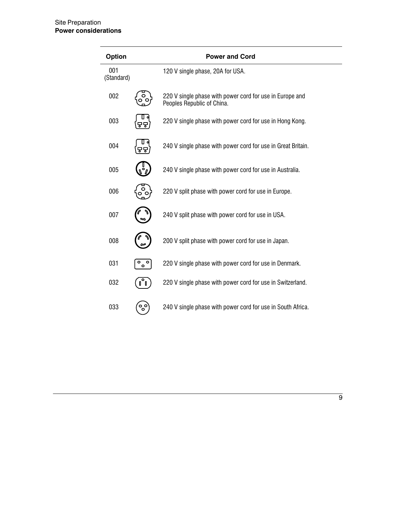| <b>Option</b>     |                            | <b>Power and Cord</b>                                                                  |
|-------------------|----------------------------|----------------------------------------------------------------------------------------|
| 001<br>(Standard) |                            | 120 V single phase, 20A for USA.                                                       |
| 002               |                            | 220 V single phase with power cord for use in Europe and<br>Peoples Republic of China. |
| 003               |                            | 220 V single phase with power cord for use in Hong Kong.                               |
| 004               |                            | 240 V single phase with power cord for use in Great Britain.                           |
| 005               |                            | 240 V single phase with power cord for use in Australia.                               |
| 006               |                            | 220 V split phase with power cord for use in Europe.                                   |
| 007               |                            | 240 V split phase with power cord for use in USA.                                      |
| 008               |                            | 200 V split phase with power cord for use in Japan.                                    |
| 031               | $\circ$ $\circ$<br>$\circ$ | 220 V single phase with power cord for use in Denmark.                                 |
| 032               | $\mathbf{u}^{\circ}$       | 220 V single phase with power cord for use in Switzerland.                             |
| 033               | ್ಧಿಂ                       | 240 V single phase with power cord for use in South Africa.                            |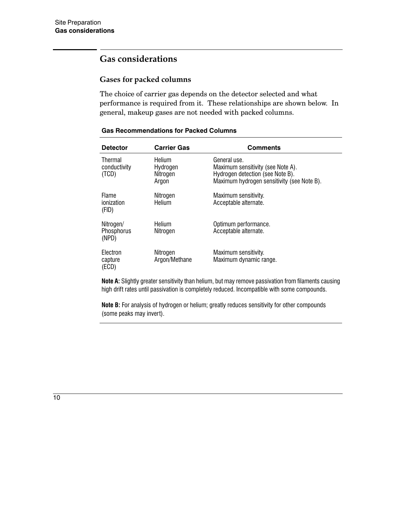# **Gas considerations**

### **Gases for packed columns**

The choice of carrier gas depends on the detector selected and what performance is required from it. These relationships are shown below. In general, makeup gases are not needed with packed columns.

| <b>Detector</b>                         | <b>Carrier Gas</b>                      | <b>Comments</b>                                                                                                                     |
|-----------------------------------------|-----------------------------------------|-------------------------------------------------------------------------------------------------------------------------------------|
| <b>Thermal</b><br>conductivity<br>(TCD) | Helium<br>Hydrogen<br>Nitrogen<br>Argon | General use.<br>Maximum sensitivity (see Note A).<br>Hydrogen detection (see Note B).<br>Maximum hydrogen sensitivity (see Note B). |
| <b>Flame</b><br>ionization<br>(FID)     | Nitrogen<br>Helium                      | Maximum sensitivity.<br>Acceptable alternate.                                                                                       |
| Nitrogen/<br><b>Phosphorus</b><br>(NPD) | Helium<br>Nitrogen                      | Optimum performance.<br>Acceptable alternate.                                                                                       |
| Electron<br>capture<br>(ECD)            | Nitrogen<br>Argon/Methane               | Maximum sensitivity.<br>Maximum dynamic range.                                                                                      |

#### **Gas Recommendations for Packed Columns**

Note A: Slightly greater sensitivity than helium, but may remove passivation from filaments causing high drift rates until passivation is completely reduced. Incompatible with some compounds.

Note B: For analysis of hydrogen or helium; greatly reduces sensitivity for other compounds (some peaks may invert).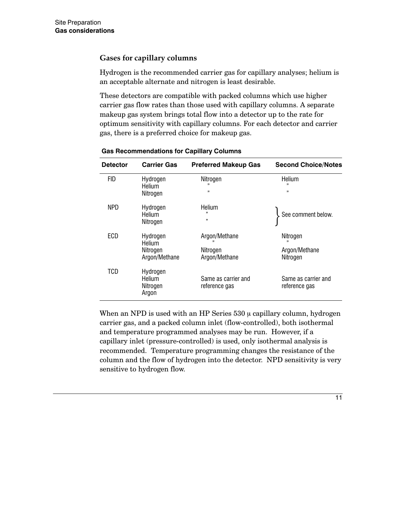### **Gases for capillary columns**

Hydrogen is the recommended carrier gas for capillary analyses; helium is an acceptable alternate and nitrogen is least desirable.

These detectors are compatible with packed columns which use higher carrier gas flow rates than those used with capillary columns. A separate makeup gas system brings total flow into a detector up to the rate for optimum sensitivity with capillary columns. For each detector and carrier gas, there is a preferred choice for makeup gas.

| <b>Detector</b> | <b>Carrier Gas</b>                              | <b>Preferred Makeup Gas</b>                | <b>Second Choice/Notes</b>            |
|-----------------|-------------------------------------------------|--------------------------------------------|---------------------------------------|
| <b>FID</b>      | Hydrogen<br>Helium<br>Nitrogen                  | Nitrogen<br>,,                             | Helium<br>11<br>,,                    |
| NPD             | Hydrogen<br>Helium<br>Nitrogen                  | Helium<br>33<br>33                         | See comment below.                    |
| ECD             | Hydrogen<br>Helium<br>Nitrogen<br>Argon/Methane | Argon/Methane<br>Nitrogen<br>Argon/Methane | Nitrogen<br>Argon/Methane<br>Nitrogen |
| TCD             | Hydrogen<br>Helium<br>Nitrogen<br>Argon         | Same as carrier and<br>reference gas       | Same as carrier and<br>reference gas  |

**Gas Recommendations for Capillary Columns** 

When an NPD is used with an HP Series 530 µ capillary column, hydrogen carrier gas, and a packed column inlet (flow-controlled), both isothermal and temperature programmed analyses may be run. However, if a capillary inlet (pressure-controlled) is used, only isothermal analysis is recommended. Temperature programming changes the resistance of the column and the flow of hydrogen into the detector. NPD sensitivity is very sensitive to hydrogen flow.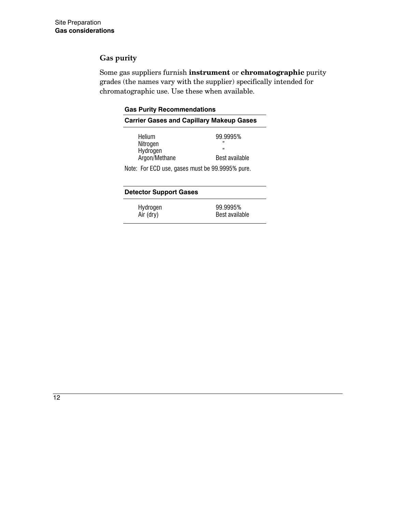### **Gas purity**

Some gas suppliers furnish instrument or chromatographic purity grades (the names vary with the supplier) specifically intended for chromatographic use. Use these when available.

|                                                 | <b>Gas Purity Recommendations</b> |  |  |
|-------------------------------------------------|-----------------------------------|--|--|
| <b>Carrier Gases and Capillary Makeup Gases</b> |                                   |  |  |
| Helium                                          | 99.9995%                          |  |  |
| Nitrogen                                        | 99<br>33                          |  |  |
| Hydrogen<br>Argon/Methane                       | Best available                    |  |  |
| Note: For ECD use, gases must be 99.9995% pure. |                                   |  |  |
| <b>Detector Support Gases</b>                   |                                   |  |  |
| Hydrogen<br>Air (dry)                           | 99.9995%<br>Best available        |  |  |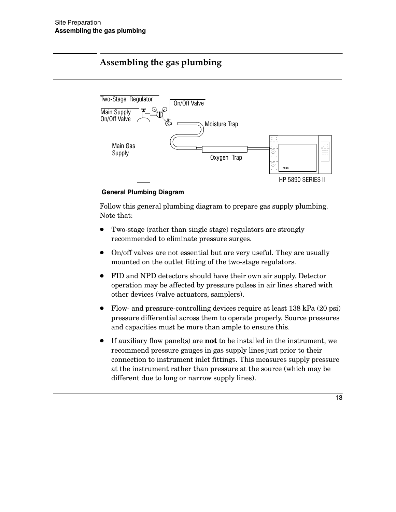# Assembling the gas plumbing



**General Plumbing Diagram** 

Follow this general plumbing diagram to prepare gas supply plumbing. Note that:

- Two-stage (rather than single stage) regulators are strongly recommended to eliminate pressure surges.
- On/off valves are not essential but are very useful. They are usually mounted on the outlet fitting of the two-stage regulators.
- FID and NPD detectors should have their own air supply. Detector operation may be affected by pressure pulses in air lines shared with other devices (valve actuators, samplers).
- Flow- and pressure-controlling devices require at least 138 kPa (20 psi) pressure differential across them to operate properly. Source pressures and capacities must be more than ample to ensure this.
- If auxiliary flow panel(s) are **not** to be installed in the instrument, we recommend pressure gauges in gas supply lines just prior to their connection to instrument inlet fittings. This measures supply pressure at the instrument rather than pressure at the source (which may be different due to long or narrow supply lines).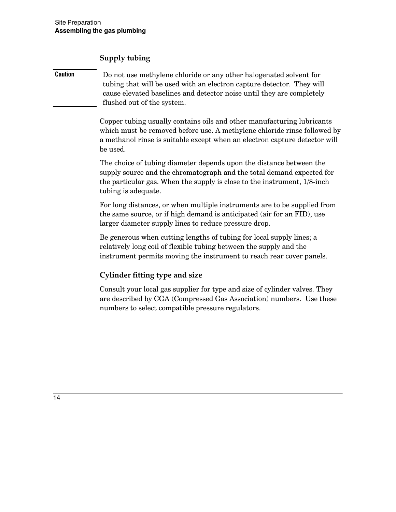Supply tubing

| <b>Caution</b> | Do not use methylene chloride or any other halogenated solvent for<br>tubing that will be used with an electron capture detector. They will |
|----------------|---------------------------------------------------------------------------------------------------------------------------------------------|
|                | cause elevated baselines and detector noise until they are completely<br>flushed out of the system.                                         |

Copper tubing usually contains oils and other manufacturing lubricants which must be removed before use. A methylene chloride rinse followed by a methanol rinse is suitable except when an electron capture detector will be used.

The choice of tubing diameter depends upon the distance between the supply source and the chromatograph and the total demand expected for the particular gas. When the supply is close to the instrument,  $1/8$ -inch tubing is adequate.

For long distances, or when multiple instruments are to be supplied from the same source, or if high demand is anticipated (air for an FID), use larger diameter supply lines to reduce pressure drop.

Be generous when cutting lengths of tubing for local supply lines; a relatively long coil of flexible tubing between the supply and the instrument permits moving the instrument to reach rear cover panels.

## **Cylinder fitting type and size**

Consult your local gas supplier for type and size of cylinder valves. They are described by CGA (Compressed Gas Association) numbers. Use these numbers to select compatible pressure regulators.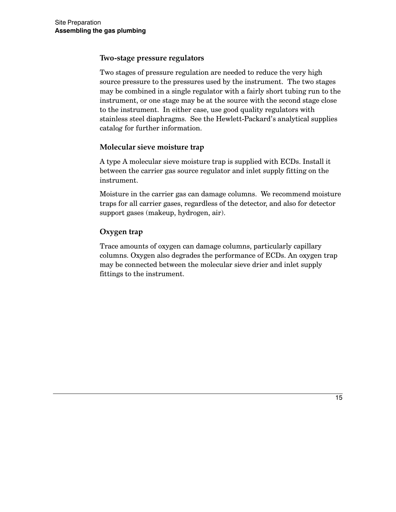### Two-stage pressure regulators

Two stages of pressure regulation are needed to reduce the very high source pressure to the pressures used by the instrument. The two stages may be combined in a single regulator with a fairly short tubing run to the instrument, or one stage may be at the source with the second stage close to the instrument. In either case, use good quality regulators with stainless steel diaphragms. See the Hewlett-Packard's analytical supplies catalog for further information.

### Molecular sieve moisture trap

A type A molecular sieve moisture trap is supplied with ECDs. Install it between the carrier gas source regulator and inlet supply fitting on the instrument.

Moisture in the carrier gas can damage columns. We recommend moisture traps for all carrier gases, regardless of the detector, and also for detector support gases (makeup, hydrogen, air).

### Oxygen trap

Trace amounts of oxygen can damage columns, particularly capillary columns. Oxygen also degrades the performance of ECDs. An oxygen trap may be connected between the molecular sieve drier and inlet supply fittings to the instrument.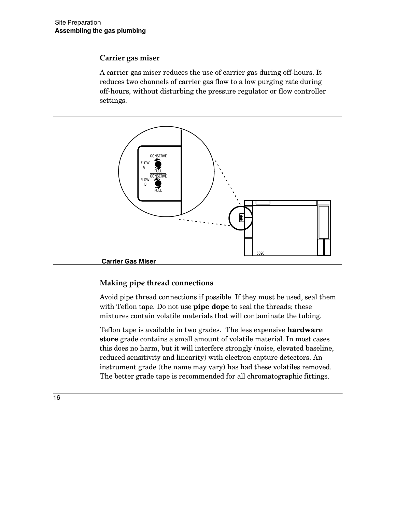### Carrier gas miser

A carrier gas miser reduces the use of carrier gas during off-hours. It reduces two channels of carrier gas flow to a low purging rate during off-hours, without disturbing the pressure regulator or flow controller settings.



### Making pipe thread connections

Avoid pipe thread connections if possible. If they must be used, seal them with Teflon tape. Do not use pipe dope to seal the threads; these mixtures contain volatile materials that will contaminate the tubing.

Teflon tape is available in two grades. The less expensive hardware store grade contains a small amount of volatile material. In most cases this does no harm, but it will interfere strongly (noise, elevated baseline, reduced sensitivity and linearity) with electron capture detectors. An instrument grade (the name may vary) has had these volatiles removed. The better grade tape is recommended for all chromatographic fittings.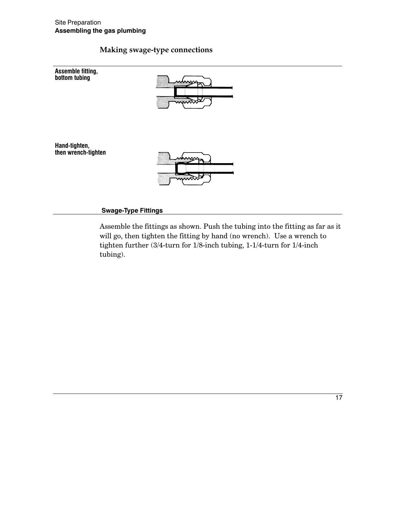### Making swage-type connections



#### **Swage-Type Fittings**

Assemble the fittings as shown. Push the tubing into the fitting as far as it will go, then tighten the fitting by hand (no wrench). Use a wrench to tighten further (3/4-turn for 1/8-inch tubing, 1-1/4-turn for 1/4-inch tubing).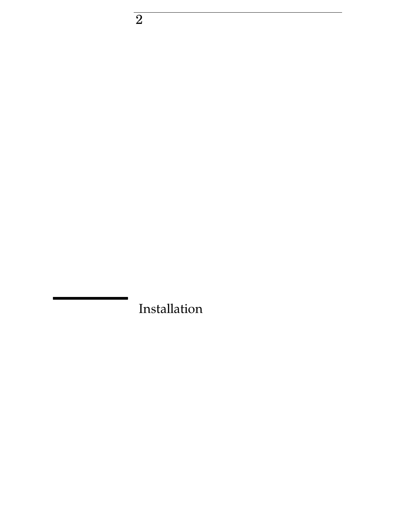Installation

 $\overline{2}$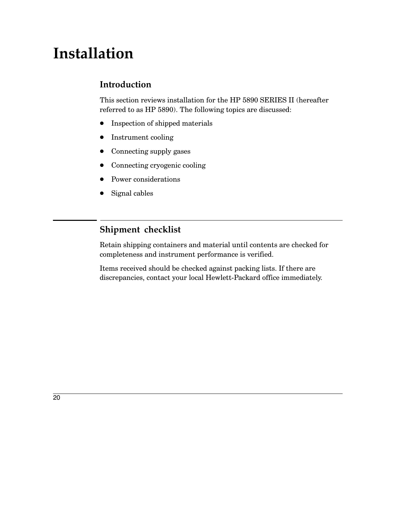# Installation

## Introduction

This section reviews installation for the HP 5890 SERIES II (hereafter referred to as HP 5890). The following topics are discussed:

- Inspection of shipped materials
- $\bullet$  Instrument cooling
- $\bullet$  Connecting supply gases
- Connecting cryogenic cooling
- Power considerations
- Signal cables  $\bullet$

## Shipment checklist

Retain shipping containers and material until contents are checked for completeness and instrument performance is verified.

Items received should be checked against packing lists. If there are discrepancies, contact your local Hewlett-Packard office immediately.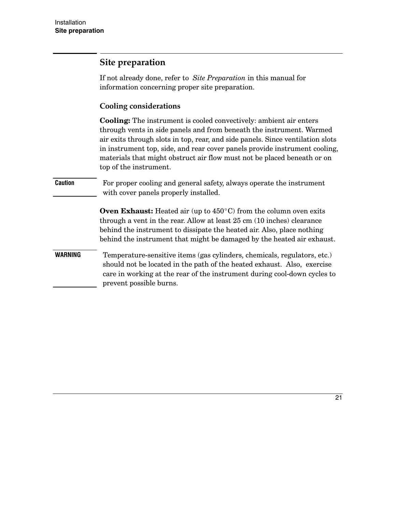### Site preparation

If not already done, refer to Site Preparation in this manual for information concerning proper site preparation.

### **Cooling considerations**

**Cooling:** The instrument is cooled convectively: ambient air enters through vents in side panels and from beneath the instrument. Warmed air exits through slots in top, rear, and side panels. Since ventilation slots in instrument top, side, and rear cover panels provide instrument cooling, materials that might obstruct air flow must not be placed beneath or on top of the instrument.

For proper cooling and general safety, always operate the instrument **Caution** with cover panels properly installed.

> **Oven Exhaust:** Heated air (up to  $450^{\circ}$ C) from the column oven exits through a vent in the rear. Allow at least 25 cm (10 inches) clearance behind the instrument to dissipate the heated air. Also, place nothing behind the instrument that might be damaged by the heated air exhaust.

**WARNING** Temperature-sensitive items (gas cylinders, chemicals, regulators, etc.) should not be located in the path of the heated exhaust. Also, exercise care in working at the rear of the instrument during cool-down cycles to prevent possible burns.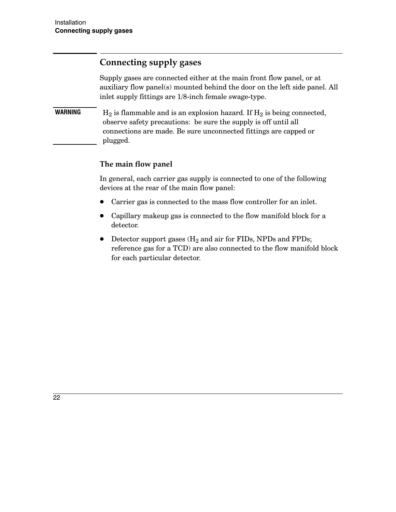# **Connecting supply gases**

Supply gases are connected either at the main front flow panel, or at auxiliary flow panel(s) mounted behind the door on the left side panel. All inlet supply fittings are 1/8-inch female swage-type.

**WARNING**  $H_2$  is flammable and is an explosion hazard. If  $H_2$  is being connected, observe safety precautions: be sure the supply is off until all connections are made. Be sure unconnected fittings are capped or plugged.

### The main flow panel

In general, each carrier gas supply is connected to one of the following devices at the rear of the main flow panel:

- Carrier gas is connected to the mass flow controller for an inlet.
- Capillary makeup gas is connected to the flow manifold block for a detector.
- Detector support gases  $(H_2 \text{ and air for FIDs, NPDs and FPDs})$ reference gas for a TCD) are also connected to the flow manifold block for each particular detector.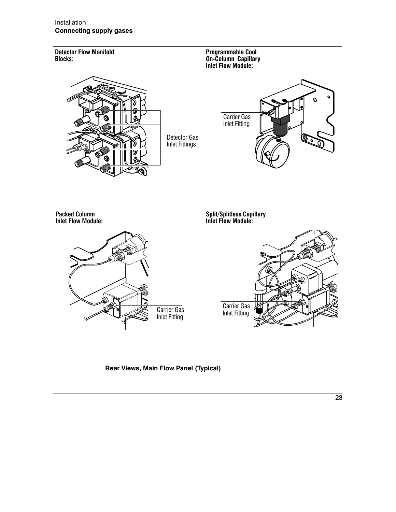Installation **Connecting supply gases** 



Rear Views, Main Flow Panel (Typical)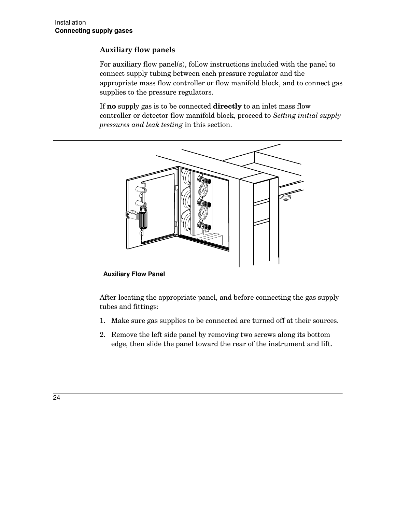### **Auxiliary flow panels**

For auxiliary flow panel(s), follow instructions included with the panel to connect supply tubing between each pressure regulator and the appropriate mass flow controller or flow manifold block, and to connect gas supplies to the pressure regulators.

If no supply gas is to be connected directly to an inlet mass flow controller or detector flow manifold block, proceed to Setting initial supply pressures and leak testing in this section.



### **Auxiliary Flow Panel**

After locating the appropriate panel, and before connecting the gas supply tubes and fittings:

- 1. Make sure gas supplies to be connected are turned off at their sources.
- 2. Remove the left side panel by removing two screws along its bottom edge, then slide the panel toward the rear of the instrument and lift.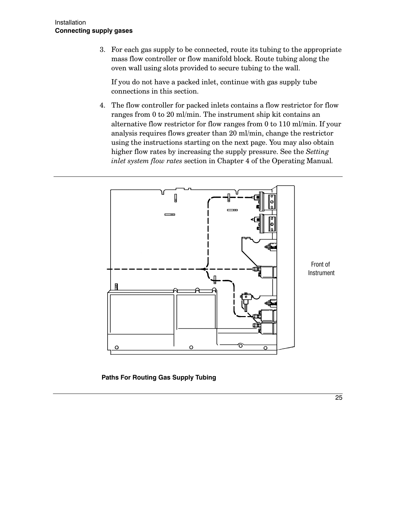3. For each gas supply to be connected, route its tubing to the appropriate mass flow controller or flow manifold block. Route tubing along the oven wall using slots provided to secure tubing to the wall.

If you do not have a packed inlet, continue with gas supply tube connections in this section.

4. The flow controller for packed inlets contains a flow restrictor for flow ranges from 0 to 20 ml/min. The instrument ship kit contains an alternative flow restrictor for flow ranges from  $0$  to 110 ml/min. If your analysis requires flows greater than 20 ml/min, change the restrictor using the instructions starting on the next page. You may also obtain higher flow rates by increasing the supply pressure. See the Setting inlet system flow rates section in Chapter 4 of the Operating Manual.



**Paths For Routing Gas Supply Tubing**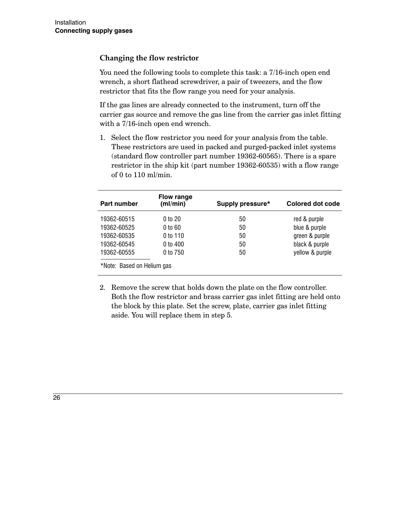### Changing the flow restrictor

You need the following tools to complete this task: a 7/16-inch open end wrench, a short flathead screwdriver, a pair of tweezers, and the flow restrictor that fits the flow range you need for your analysis.

If the gas lines are already connected to the instrument, turn off the carrier gas source and remove the gas line from the carrier gas inlet fitting with a 7/16-inch open end wrench.

1. Select the flow restrictor you need for your analysis from the table. These restrictors are used in packed and purged-packed inlet systems (standard flow controller part number 19362-60565). There is a spare restrictor in the ship kit (part number 19362-60535) with a flow range of 0 to 110 ml/min.

| Part number                | <b>Flow range</b><br>(ml/min) | Supply pressure* | Colored dot code |
|----------------------------|-------------------------------|------------------|------------------|
| 19362-60515                | 0 to 20                       | 50               | red & purple     |
| 19362-60525                | 0 to 60                       | 50               | blue & purple    |
| 19362-60535                | 0 to 110                      | 50               | green & purple   |
| 19362-60545                | 0 to 400                      | 50               | black & purple   |
| 19362-60555                | 0 to 750                      | 50               | yellow & purple  |
| *Note: Based on Helium gas |                               |                  |                  |

2. Remove the screw that holds down the plate on the flow controller. Both the flow restrictor and brass carrier gas inlet fitting are held onto the block by this plate. Set the screw, plate, carrier gas inlet fitting aside. You will replace them in step 5.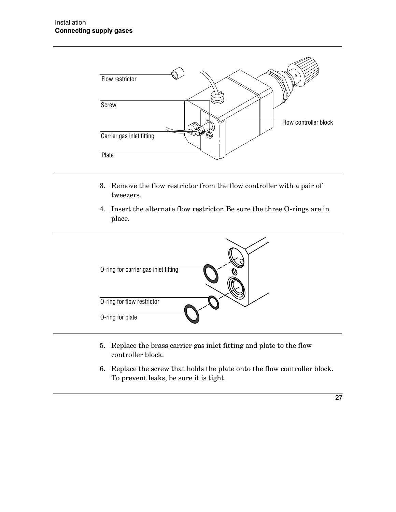

- 3. Remove the flow restrictor from the flow controller with a pair of tweezers.
- 4. Insert the alternate flow restrictor. Be sure the three O-rings are in place.



- 5. Replace the brass carrier gas inlet fitting and plate to the flow controller block.
- 6. Replace the screw that holds the plate onto the flow controller block. To prevent leaks, be sure it is tight.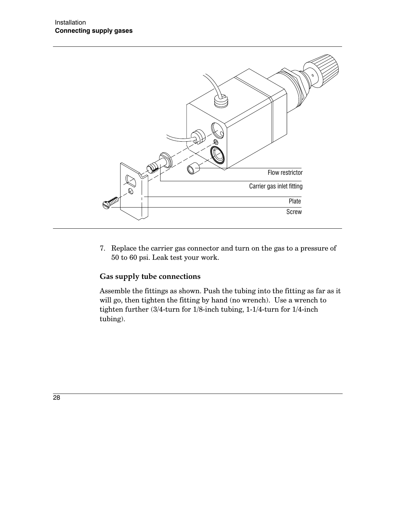

7. Replace the carrier gas connector and turn on the gas to a pressure of 50 to 60 psi. Leak test your work.

### Gas supply tube connections

Assemble the fittings as shown. Push the tubing into the fitting as far as it will go, then tighten the fitting by hand (no wrench). Use a wrench to tighten further (3/4-turn for 1/8-inch tubing, 1-1/4-turn for 1/4-inch tubing).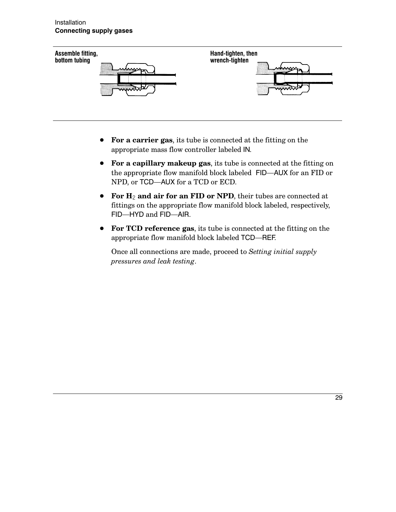

- For a carrier gas, its tube is connected at the fitting on the appropriate mass flow controller labeled IN.
- For a capillary makeup gas, its tube is connected at the fitting on the appropriate flow manifold block labeled FID—AUX for an FID or NPD, or TCD-AUX for a TCD or ECD.
- For  $H_2$  and air for an FID or NPD, their tubes are connected at fittings on the appropriate flow manifold block labeled, respectively, FID-HYD and FID-AIR.
- For TCD reference gas, its tube is connected at the fitting on the appropriate flow manifold block labeled TCD-REF.

Once all connections are made, proceed to Setting initial supply pressures and leak testing.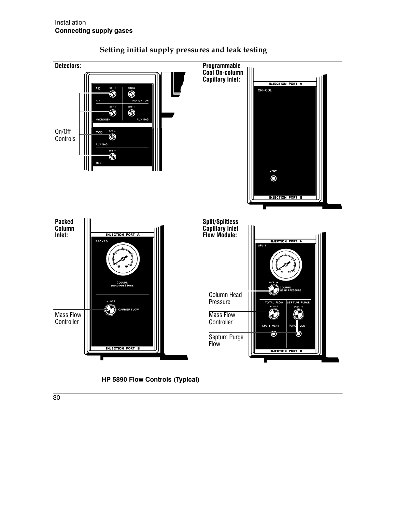

### Setting initial supply pressures and leak testing



 $\overline{30}$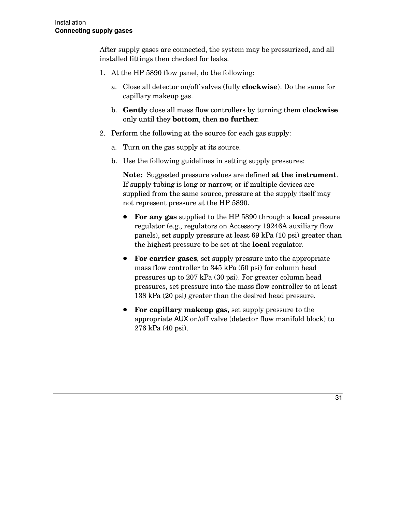After supply gases are connected, the system may be pressurized, and all installed fittings then checked for leaks.

- 1. At the HP 5890 flow panel, do the following:
	- a. Close all detector on/off valves (fully **clockwise**). Do the same for capillary makeup gas.
	- b. Gently close all mass flow controllers by turning them clockwise only until they **bottom**, then **no further**.
- 2. Perform the following at the source for each gas supply:
	- a. Turn on the gas supply at its source.
	- b. Use the following guidelines in setting supply pressures:

**Note:** Suggested pressure values are defined at the instrument. If supply tubing is long or narrow, or if multiple devices are supplied from the same source, pressure at the supply itself may not represent pressure at the HP 5890.

- For any gas supplied to the HP 5890 through a local pressure regulator (e.g., regulators on Accessory 19246A auxiliary flow panels), set supply pressure at least 69 kPa (10 psi) greater than the highest pressure to be set at the **local** regulator.
- For carrier gases, set supply pressure into the appropriate mass flow controller to 345 kPa (50 psi) for column head pressures up to 207 kPa (30 psi). For greater column head pressures, set pressure into the mass flow controller to at least 138 kPa (20 psi) greater than the desired head pressure.
- For capillary makeup gas, set supply pressure to the appropriate AUX on/off valve (detector flow manifold block) to 276 kPa (40 psi).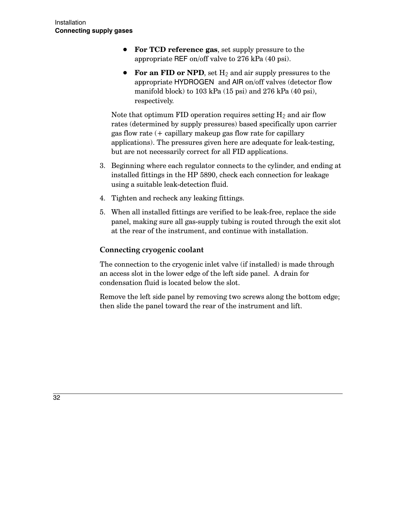- For TCD reference gas, set supply pressure to the appropriate REF on/off valve to 276 kPa (40 psi).
- For an FID or NPD, set  $H_2$  and air supply pressures to the appropriate HYDROGEN and AIR on/off valves (detector flow manifold block) to  $103$  kPa  $(15$  psi) and  $276$  kPa  $(40$  psi), respectively.

Note that optimum FID operation requires setting  $H_2$  and air flow rates (determined by supply pressures) based specifically upon carrier gas flow rate  $($  + capillary makeup gas flow rate for capillary applications). The pressures given here are adequate for leak-testing, but are not necessarily correct for all FID applications.

- 3. Beginning where each regulator connects to the cylinder, and ending at installed fittings in the HP 5890, check each connection for leakage using a suitable leak-detection fluid.
- 4. Tighten and recheck any leaking fittings.
- 5. When all installed fittings are verified to be leak-free, replace the side panel, making sure all gas-supply tubing is routed through the exit slot at the rear of the instrument, and continue with installation.

### Connecting cryogenic coolant

The connection to the cryogenic inlet valve (if installed) is made through an access slot in the lower edge of the left side panel. A drain for condensation fluid is located below the slot.

Remove the left side panel by removing two screws along the bottom edge; then slide the panel toward the rear of the instrument and lift.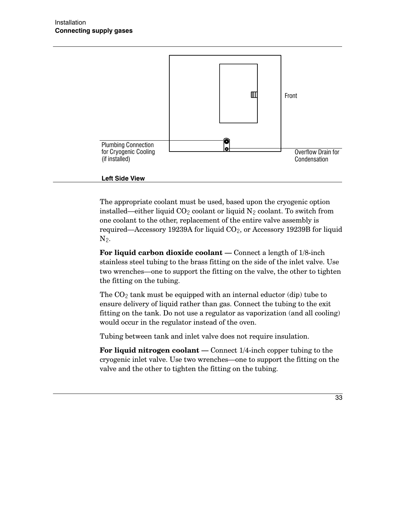

#### **Left Side View**

The appropriate coolant must be used, based upon the cryogenic option installed—either liquid  $CO_2$  coolant or liquid  $N_2$  coolant. To switch from one coolant to the other, replacement of the entire valve assembly is required—Accessory 19239A for liquid  $CO<sub>2</sub>$ , or Accessory 19239B for liquid  $N_2$ .

For liquid carbon dioxide coolant — Connect a length of  $1/8$ -inch stainless steel tubing to the brass fitting on the side of the inlet valve. Use two wrenches—one to support the fitting on the valve, the other to tighten the fitting on the tubing.

The  $CO<sub>2</sub>$  tank must be equipped with an internal eductor (dip) tube to ensure delivery of liquid rather than gas. Connect the tubing to the exit fitting on the tank. Do not use a regulator as vaporization (and all cooling) would occur in the regulator instead of the oven.

Tubing between tank and inlet valve does not require insulation.

For liquid nitrogen coolant  $-$  Connect  $1/4$ -inch copper tubing to the cryogenic inlet valve. Use two wrenches—one to support the fitting on the valve and the other to tighten the fitting on the tubing.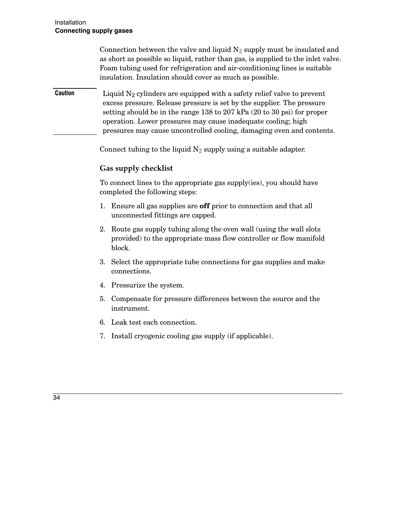|                | Connection between the valve and liquid $N_2$ supply must be insulated and<br>as short as possible so liquid, rather than gas, is supplied to the inlet valve.<br>Foam tubing used for refrigeration and air-conditioning lines is suitable<br>insulation. Insulation should cover as much as possible.                                                                                     |
|----------------|---------------------------------------------------------------------------------------------------------------------------------------------------------------------------------------------------------------------------------------------------------------------------------------------------------------------------------------------------------------------------------------------|
| <b>Caution</b> | Liquid $N_2$ cylinders are equipped with a safety relief valve to prevent<br>excess pressure. Release pressure is set by the supplier. The pressure<br>setting should be in the range 138 to 207 kPa $(20 \text{ to } 30 \text{ psi})$ for proper<br>operation. Lower pressures may cause inadequate cooling; high<br>pressures may cause uncontrolled cooling, damaging oven and contents. |

Connect tubing to the liquid  $N_2$  supply using a suitable adapter.

### Gas supply checklist

To connect lines to the appropriate gas supply(ies), you should have completed the following steps:

- 1. Ensure all gas supplies are **off** prior to connection and that all unconnected fittings are capped.
- 2. Route gas supply tubing along the oven wall (using the wall slots provided) to the appropriate mass flow controller or flow manifold block.
- 3. Select the appropriate tube connections for gas supplies and make connections.
- 4. Pressurize the system.
- 5. Compensate for pressure differences between the source and the instrument.
- 6. Leak test each connection.
- 7. Install cryogenic cooling gas supply (if applicable).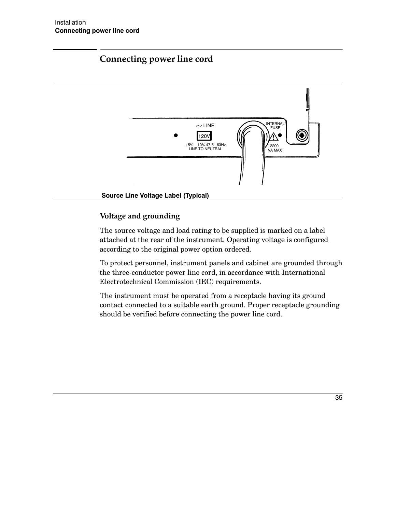# **Connecting power line cord**



### Voltage and grounding

The source voltage and load rating to be supplied is marked on a label attached at the rear of the instrument. Operating voltage is configured according to the original power option ordered.

To protect personnel, instrument panels and cabinet are grounded through the three-conductor power line cord, in accordance with International Electrotechnical Commission (IEC) requirements.

The instrument must be operated from a receptacle having its ground contact connected to a suitable earth ground. Proper receptacle grounding should be verified before connecting the power line cord.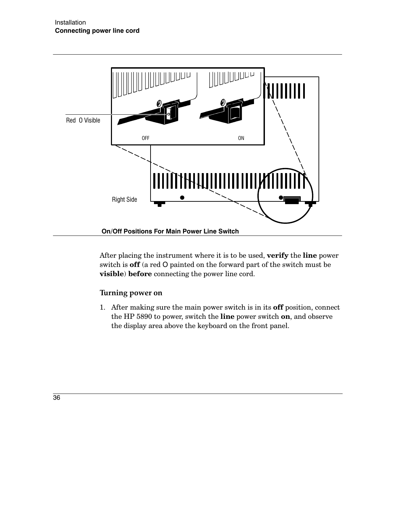

After placing the instrument where it is to be used, verify the line power switch is **off** (a red O painted on the forward part of the switch must be visible) before connecting the power line cord.

### Turning power on

1. After making sure the main power switch is in its off position, connect the HP 5890 to power, switch the line power switch on, and observe the display area above the keyboard on the front panel.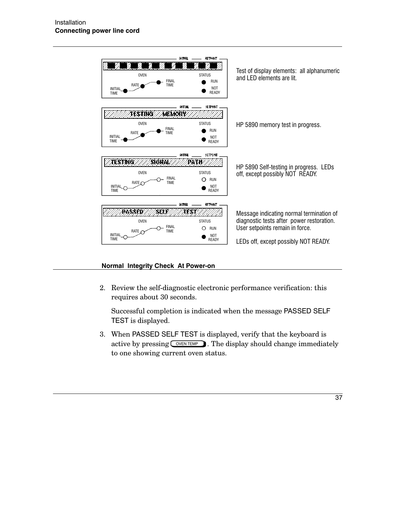

#### Normal Integrity Check At Power-on

2. Review the self-diagnostic electronic performance verification: this requires about 30 seconds.

Successful completion is indicated when the message PASSED SELF TEST is displayed.

3. When PASSED SELF TEST is displayed, verify that the keyboard is active by pressing  $\sqrt{\text{ONEN TEMP}}$ . The display should change immediately to one showing current oven status.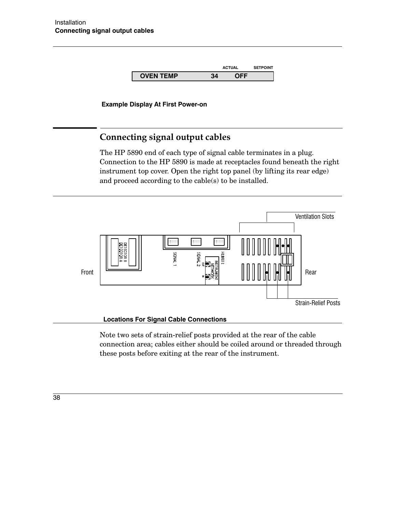

**Example Display At First Power-on** 

## Connecting signal output cables

The HP 5890 end of each type of signal cable terminates in a plug. Connection to the HP 5890 is made at receptacles found beneath the right instrument top cover. Open the right top panel (by lifting its rear edge) and proceed according to the cable(s) to be installed.



Note two sets of strain-relief posts provided at the rear of the cable connection area; cables either should be coiled around or threaded through these posts before exiting at the rear of the instrument.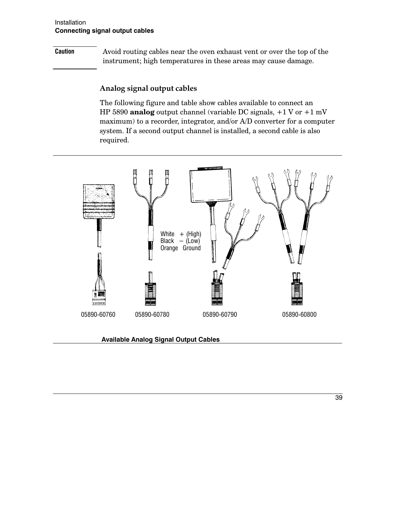### Installation **Connecting signal output cables**

### **Caution**

Avoid routing cables near the oven exhaust vent or over the top of the instrument; high temperatures in these areas may cause damage.

### Analog signal output cables

The following figure and table show cables available to connect an HP 5890 analog output channel (variable DC signals,  $+1$  V or  $+1$  mV maximum) to a recorder, integrator, and/or A/D converter for a computer system. If a second output channel is installed, a second cable is also required.



#### **Available Analog Signal Output Cables**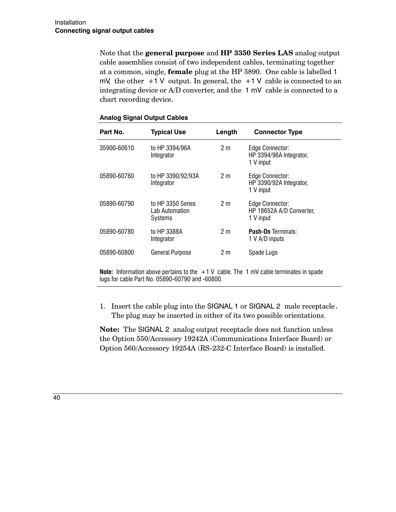Note that the general purpose and HP 3350 Series LAS analog output cable assemblies consist of two independent cables, terminating together at a common, single, **female** plug at the HP 5890. One cable is labelled 1 mV, the other  $+1$  V output. In general, the  $+1$  V cable is connected to an integrating device or A/D converter, and the 1 mV cable is connected to a chart recording device.

| Part No.    | <b>Typical Use</b>                             | Length         | <b>Connector Type</b>                                    |
|-------------|------------------------------------------------|----------------|----------------------------------------------------------|
| 35900-60610 | to HP 3394/96A<br>Integrator                   | 2 <sub>m</sub> | Edge Connector:<br>HP 3394/96A Integrator,<br>1 V input  |
| 05890-60760 | to HP 3390/92/93A<br>Integrator                | 2 <sub>m</sub> | Edge Connector:<br>HP 3390/92A Integrator,<br>1 V input  |
| 05890-60790 | to HP 3350 Series<br>Lab Automation<br>Systems | 2 <sub>m</sub> | Edge Connector:<br>HP 18652A A/D Converter,<br>1 V input |
| 05890-60780 | to HP 3388A<br>Integrator                      | 2 <sub>m</sub> | <b>Push-On Terminals:</b><br>1 V A/D inputs              |
| 05890-60800 | <b>General Purpose</b>                         | 2 <sub>m</sub> | Spade Lugs                                               |

#### **Analog Signal Output Cables**

**Note:** Information above pertains to the  $+1$  V cable. The 1 mV cable terminates in spade lugs for cable Part No. 05890-60790 and -60800.

1. Insert the cable plug into the SIGNAL 1 or SIGNAL 2 male receptacle. The plug may be inserted in either of its two possible orientations.

**Note:** The SIGNAL 2 analog output receptacle does not function unless the Option 550/Accessory 19242A (Communications Interface Board) or Option 560/Accessory 19254A (RS-232-C Interface Board) is installed.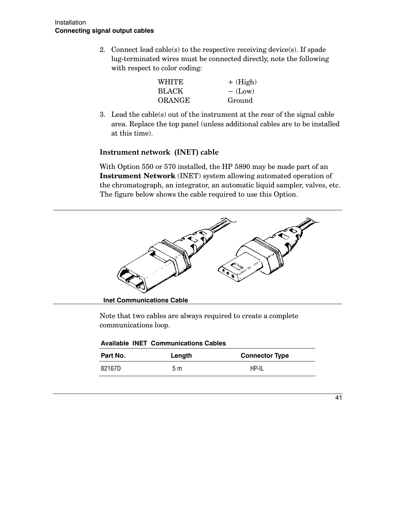2. Connect lead cable(s) to the respective receiving device(s). If spade lug-terminated wires must be connected directly, note the following with respect to color coding:

| WHITE         | $+$ (High) |
|---------------|------------|
| <b>BLACK</b>  | $-$ (Low)  |
| <b>ORANGE</b> | Ground     |

3. Lead the cable  $(s)$  out of the instrument at the rear of the signal cable area. Replace the top panel (unless additional cables are to be installed at this time).

### Instrument network (INET) cable

With Option 550 or 570 installed, the HP 5890 may be made part of an **Instrument Network** (INET) system allowing automated operation of the chromatograph, an integrator, an automatic liquid sampler, valves, etc. The figure below shows the cable required to use this Option.



Note that two cables are always required to create a complete communications loop.

|  |  | <b>Available INET Communications Cables</b> |  |
|--|--|---------------------------------------------|--|
|--|--|---------------------------------------------|--|

| Part No. | Length | <b>Connector Type</b> |
|----------|--------|-----------------------|
| 82167D   | 5 m    | <b>HP-IL</b>          |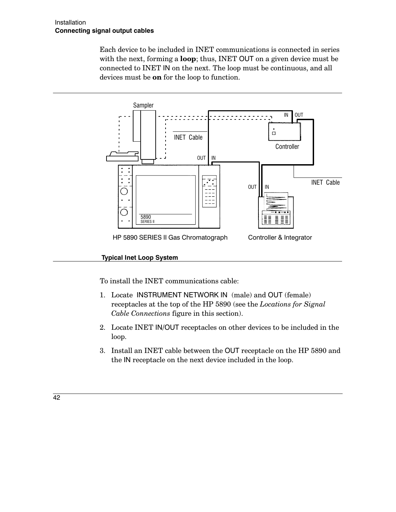Each device to be included in INET communications is connected in series with the next, forming a **loop**; thus, INET OUT on a given device must be connected to INET IN on the next. The loop must be continuous, and all devices must be **on** for the loop to function.



### **Typical Inet Loop System**

To install the INET communications cable:

- 1. Locate INSTRUMENT NETWORK IN (male) and OUT (female) receptacles at the top of the HP 5890 (see the Locations for Signal Cable Connections figure in this section).
- 2. Locate INET IN/OUT receptacles on other devices to be included in the loop.
- 3. Install an INET cable between the OUT receptacle on the HP 5890 and the IN receptacle on the next device included in the loop.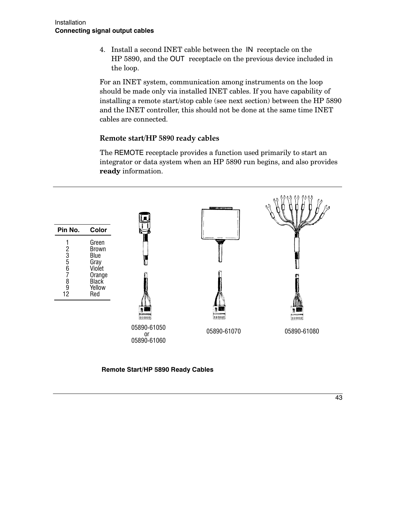4. Install a second INET cable between the IN receptacle on the HP 5890, and the OUT receptacle on the previous device included in the loop.

For an INET system, communication among instruments on the loop should be made only via installed INET cables. If you have capability of installing a remote start/stop cable (see next section) between the HP 5890 and the INET controller, this should not be done at the same time INET cables are connected.

### Remote start/HP 5890 ready cables

The REMOTE receptacle provides a function used primarily to start an integrator or data system when an HP 5890 run begins, and also provides ready information.



Remote Start/HP 5890 Ready Cables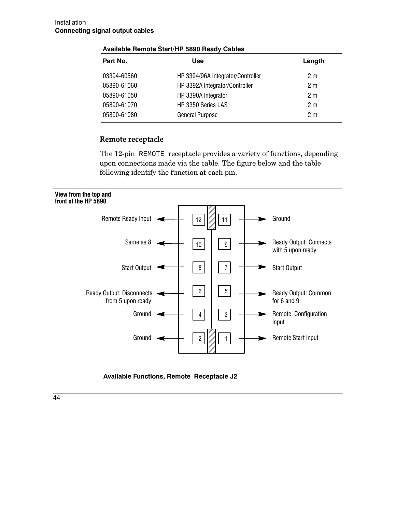| Part No.    | Use                               | Length         |
|-------------|-----------------------------------|----------------|
| 03394-60560 | HP 3394/96A Integrator/Controller | 2 m            |
| 05890-61060 | HP 3392A Integrator/Controller    | 2 m            |
| 05890-61050 | HP 3390A Integrator               | 2 <sub>m</sub> |
| 05890-61070 | HP 3350 Series LAS                | 2 m            |
| 05890-61080 | General Purpose                   | 2 <sub>m</sub> |

#### Available Remote Start/HP 5890 Ready Cables

### Remote receptacle

The 12-pin REMOTE receptacle provides a variety of functions, depending upon connections made via the cable. The figure below and the table following identify the function at each pin.



Available Functions, Remote Receptacle J2

44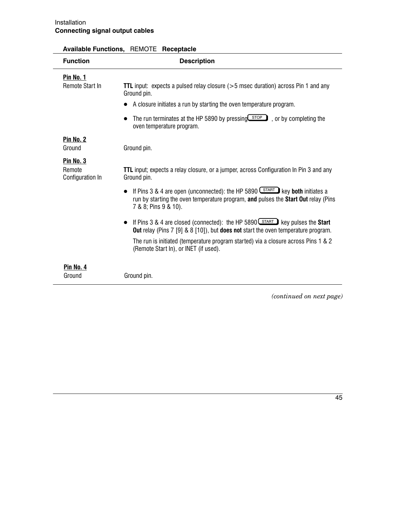| <b>Function</b>                         | <b>Description</b>                                                                                                                                                                                                                                                                                                               |
|-----------------------------------------|----------------------------------------------------------------------------------------------------------------------------------------------------------------------------------------------------------------------------------------------------------------------------------------------------------------------------------|
| Pin No. 1<br>Remote Start In            | <b>TTL</b> input: expects a pulsed relay closure $(>5$ msec duration) across Pin 1 and any<br>Ground pin.<br>A closure initiates a run by starting the oven temperature program.<br>The run terminates at the HP 5890 by pressing $\boxed{\text{stop}}$ , or by completing the<br>oven temperature program.                      |
| <b>Pin No. 2</b><br>Ground              | Ground pin.                                                                                                                                                                                                                                                                                                                      |
| Pin No. 3<br>Remote<br>Configuration In | <b>TTL</b> input; expects a relay closure, or a jumper, across Configuration In Pin 3 and any<br>Ground pin.                                                                                                                                                                                                                     |
|                                         | If Pins 3 & 4 are open (unconnected): the HP 5890 $S_{\text{TART}}$ key both initiates a<br>run by starting the oven temperature program, and pulses the Start Out relay (Pins<br>7 & 8; Pins 9 & 10).                                                                                                                           |
|                                         | If Pins 3 & 4 are closed (connected): the HP 5890 $\left(\frac{START}{S}\right)$ key pulses the <b>Start</b><br>Out relay (Pins 7 [9] & 8 [10]), but does not start the oven temperature program.<br>The run is initiated (temperature program started) via a closure across Pins 1 & 2<br>(Remote Start In), or INET (if used). |
| Pin No. 4<br>Ground                     | Ground pin.                                                                                                                                                                                                                                                                                                                      |

### Available Functions, REMOTE Receptacle

(continued on next page)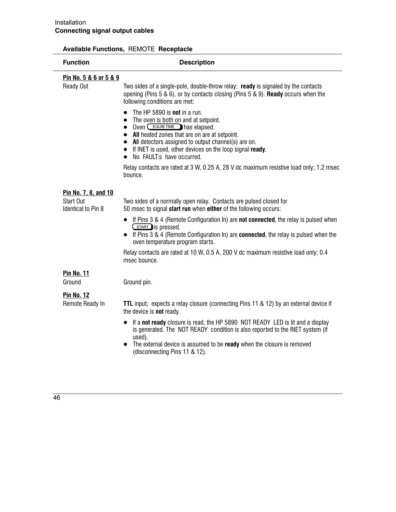### Available Functions, REMOTE Receptacle

| <b>Function</b>                       | <b>Description</b>                                                                                                                                                                                                                                                                                                                                                                             |
|---------------------------------------|------------------------------------------------------------------------------------------------------------------------------------------------------------------------------------------------------------------------------------------------------------------------------------------------------------------------------------------------------------------------------------------------|
| <u>Pin No. 5 &amp; 6 or 5 &amp; 9</u> |                                                                                                                                                                                                                                                                                                                                                                                                |
| <b>Ready Out</b>                      | Two sides of a single-pole, double-throw relay; ready is signaled by the contacts<br>opening (Pins 5 & 6), or by contacts closing (Pins 5 & 9). Ready occurs when the<br>following conditions are met:                                                                                                                                                                                         |
|                                       | The HP 5890 is <b>not</b> in a run.<br>$\bullet$<br>The oven is both on and at setpoint.<br>$\bullet$<br>Oven $C$ EQUIB TIME has elapsed.<br>$\bullet$<br>All heated zones that are on are at setpoint.<br>All detectors assigned to output channel(s) are on.<br>$\bullet$<br>If INET is used, other devices on the loop signal ready.<br>$\bullet$<br>No FAULT:s have occurred.<br>$\bullet$ |
|                                       | Relay contacts are rated at 3 W, 0.25 A, 28 V dc maximum resistive load only; 1.2 msec<br>bounce.                                                                                                                                                                                                                                                                                              |
| Pin No. 7, 8, and 10                  |                                                                                                                                                                                                                                                                                                                                                                                                |
| Start Out<br>Identical to Pin 8       | Two sides of a normally open relay. Contacts are pulsed closed for<br>50 msec to signal start run when either of the following occurs:                                                                                                                                                                                                                                                         |
|                                       | • If Pins $3 \& 4$ (Remote Configuration In) are <b>not connected</b> , the relay is pulsed when<br>START is pressed.<br>• If Pins 3 & 4 (Remote Configuration In) are <b>connected</b> , the relay is pulsed when the<br>oven temperature program starts.                                                                                                                                     |
|                                       | Relay contacts are rated at 10 W, 0.5 A, 200 V dc maximum resistive load only; 0.4<br>msec bounce.                                                                                                                                                                                                                                                                                             |
| <b>Pin No. 11</b>                     |                                                                                                                                                                                                                                                                                                                                                                                                |
| Ground                                | Ground pin.                                                                                                                                                                                                                                                                                                                                                                                    |
| <b>Pin No. 12</b><br>Remote Ready In  | TTL input; expects a relay closure (connecting Pins 11 & 12) by an external device if<br>the device is <b>not</b> ready.                                                                                                                                                                                                                                                                       |
|                                       | If a not ready closure is read, the HP 5890 NOT READY LED is lit and a display<br>is generated. The NOT READY condition is also reported to the INET system (if<br>used).                                                                                                                                                                                                                      |
|                                       | The external device is assumed to be ready when the closure is removed<br>(disconnecting Pins 11 & 12).                                                                                                                                                                                                                                                                                        |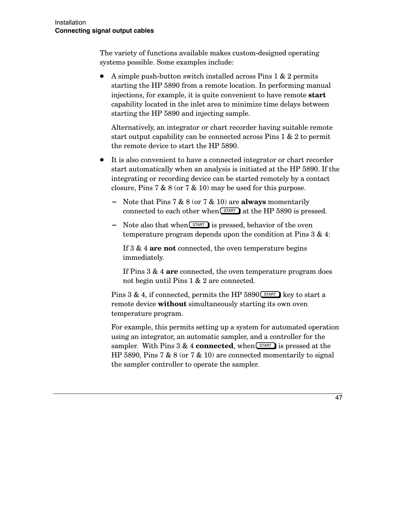The variety of functions available makes custom-designed operating systems possible. Some examples include:

A simple push-button switch installed across Pins 1 & 2 permits starting the HP 5890 from a remote location. In performing manual injections, for example, it is quite convenient to have remote **start** capability located in the inlet area to minimize time delays between starting the HP 5890 and injecting sample.

Alternatively, an integrator or chart recorder having suitable remote start output capability can be connected across  $Pins 1 & 2$  to permit the remote device to start the HP 5890.

- It is also convenient to have a connected integrator or chart recorder start automatically when an analysis is initiated at the HP 5890. If the integrating or recording device can be started remotely by a contact closure, Pins 7 & 8 (or 7 & 10) may be used for this purpose.
	- Note that Pins 7 & 8 (or 7 & 10) are **always** momentarily connected to each other when  $START$  at the HP 5890 is pressed.
	- Note also that when  $START$  is pressed, behavior of the oven temperature program depends upon the condition at Pins  $3 & 4$ :

If  $3 \& 4$  are not connected, the oven temperature begins immediately.

If Pins  $3 \& 4$  are connected, the oven temperature program does not begin until Pins 1 & 2 are connected.

Pins 3 & 4, if connected, permits the HP 5890 $\overline{\text{START}}$  key to start a remote device **without** simultaneously starting its own oven temperature program.

For example, this permits setting up a system for automated operation using an integrator, an automatic sampler, and a controller for the sampler. With Pins 3 & 4 **connected**, when  $START$  is pressed at the HP 5890, Pins 7 & 8 (or 7 & 10) are connected momentarily to signal the sampler controller to operate the sampler.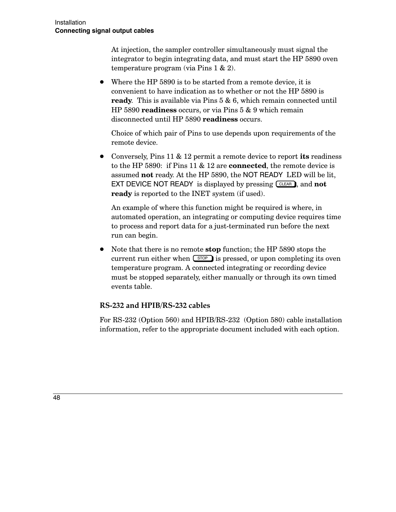At injection, the sampler controller simultaneously must signal the integrator to begin integrating data, and must start the HP 5890 oven temperature program (via Pins  $1 \& 2$ ).

• Where the HP 5890 is to be started from a remote device, it is convenient to have indication as to whether or not the HP 5890 is **ready**. This is available via Pins  $5 \& 6$ , which remain connected until HP 5890 readiness occurs, or via Pins 5 & 9 which remain disconnected until HP 5890 readiness occurs.

Choice of which pair of Pins to use depends upon requirements of the remote device.

• Conversely, Pins 11 & 12 permit a remote device to report its readiness to the HP 5890: if Pins 11  $\&$  12 are **connected**, the remote device is assumed not ready. At the HP 5890, the NOT READY LED will be lit, **EXT DEVICE NOT READY** is displayed by pressing  $CLEAR$ , and **not ready** is reported to the INET system (if used).

An example of where this function might be required is where, in automated operation, an integrating or computing device requires time to process and report data for a just-terminated run before the next run can begin.

• Note that there is no remote **stop** function; the HP 5890 stops the current run either when  $\boxed{\text{STOP}}$  is pressed, or upon completing its oven temperature program. A connected integrating or recording device must be stopped separately, either manually or through its own timed events table.

### RS-232 and HPIB/RS-232 cables

For RS-232 (Option 560) and HPIB/RS-232 (Option 580) cable installation information, refer to the appropriate document included with each option.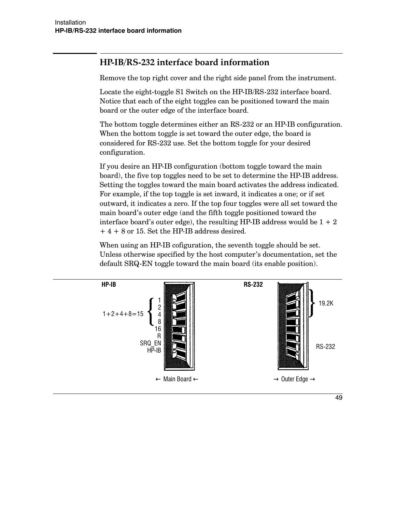# HP-IB/RS-232 interface board information

Remove the top right cover and the right side panel from the instrument.

Locate the eight-toggle S1 Switch on the HP-IB/RS-232 interface board. Notice that each of the eight toggles can be positioned toward the main board or the outer edge of the interface board.

The bottom toggle determines either an RS-232 or an HP-IB configuration. When the bottom toggle is set toward the outer edge, the board is considered for RS-232 use. Set the bottom toggle for your desired configuration.

If you desire an HP-IB configuration (bottom toggle toward the main board), the five top toggles need to be set to determine the HP-IB address. Setting the toggles toward the main board activates the address indicated. For example, if the top toggle is set inward, it indicates a one; or if set outward, it indicates a zero. If the top four toggles were all set toward the main board's outer edge (and the fifth toggle positioned toward the interface board's outer edge), the resulting HP-IB address would be  $1 + 2$  $+4+8$  or 15. Set the HP-IB address desired.

When using an HP-IB cofiguration, the seventh toggle should be set. Unless otherwise specified by the host computer's documentation, set the default SRQ-EN toggle toward the main board (its enable position).

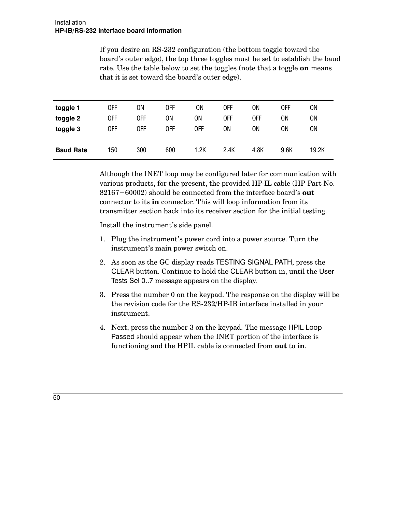If you desire an RS-232 configuration (the bottom toggle toward the board's outer edge), the top three toggles must be set to establish the baud rate. Use the table below to set the toggles (note that a toggle on means that it is set toward the board's outer edge).

| toggle 1         | 0FF | ΟN  | 0FF | ΟN   | 0FF  | ΟN   | 0FF  | ON    |  |
|------------------|-----|-----|-----|------|------|------|------|-------|--|
| toggle 2         | 0FF | 0FF | 0N  | 0N   | OFF  | 0FF  | ΟN   | ON    |  |
| toggle 3         | 0FF | 0FF | 0FF | 0FF  | ΟN   | OΝ   | ΟN   | ON    |  |
|                  |     |     |     |      |      |      |      |       |  |
| <b>Baud Rate</b> | 150 | 300 | 600 | 1.2K | 2.4K | 4.8K | 9.6K | 19.2K |  |
|                  |     |     |     |      |      |      |      |       |  |

Although the INET loop may be configured later for communication with various products, for the present, the provided HP-IL cable (HP Part No. 82167–60002) should be connected from the interface board's out connector to its **in** connector. This will loop information from its transmitter section back into its receiver section for the initial testing.

Install the instrument's side panel.

- 1. Plug the instrument's power cord into a power source. Turn the instrument's main power switch on.
- 2. As soon as the GC display reads TESTING SIGNAL PATH, press the CLEAR button. Continue to hold the CLEAR button in, until the User Tests Sel 0..7 message appears on the display.
- 3. Press the number 0 on the keypad. The response on the display will be the revision code for the RS-232/HP-IB interface installed in your instrument.
- 4. Next, press the number 3 on the keypad. The message HPIL Loop Passed should appear when the INET portion of the interface is functioning and the HPIL cable is connected from out to in.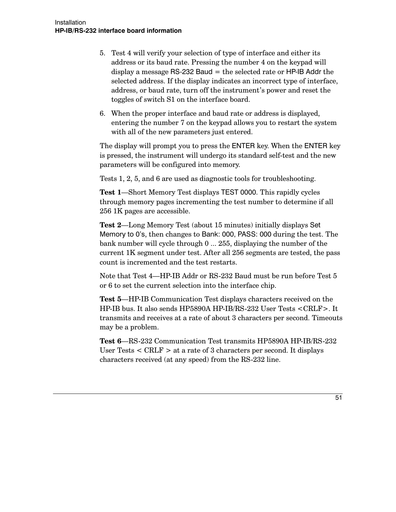- 5. Test 4 will verify your selection of type of interface and either its address or its baud rate. Pressing the number 4 on the keypad will display a message RS-232 Baud  $=$  the selected rate or HP-IB Addr the selected address. If the display indicates an incorrect type of interface, address, or baud rate, turn off the instrument's power and reset the toggles of switch S1 on the interface board.
- 6. When the proper interface and baud rate or address is displayed, entering the number 7 on the keypad allows you to restart the system with all of the new parameters just entered.

The display will prompt you to press the ENTER key. When the ENTER key is pressed, the instrument will undergo its standard self-test and the new parameters will be configured into memory.

Tests  $1, 2, 5$ , and 6 are used as diagnostic tools for troubleshooting.

Test 1-Short Memory Test displays TEST 0000. This rapidly cycles through memory pages incrementing the test number to determine if all 256 1K pages are accessible.

**Test 2—Long Memory Test (about 15 minutes) initially displays Set** Memory to 0's, then changes to Bank: 000, PASS: 000 during the test. The bank number will cycle through  $0 \, ... \, 255,$  displaying the number of the current 1K segment under test. After all  $256$  segments are tested, the pass count is incremented and the test restarts.

Note that Test 4—HP-IB Addr or RS-232 Baud must be run before Test 5 or 6 to set the current selection into the interface chip.

**Test 5—HP-IB** Communication Test displays characters received on the HP-IB bus. It also sends HP5890A HP-IB/RS-232 User Tests <CRLF>. It transmits and receives at a rate of about 3 characters per second. Timeouts may be a problem.

Test 6—RS-232 Communication Test transmits HP5890A HP-IB/RS-232 User Tests  $\langle$  CRLF  $\rangle$  at a rate of 3 characters per second. It displays characters received (at any speed) from the RS-232 line.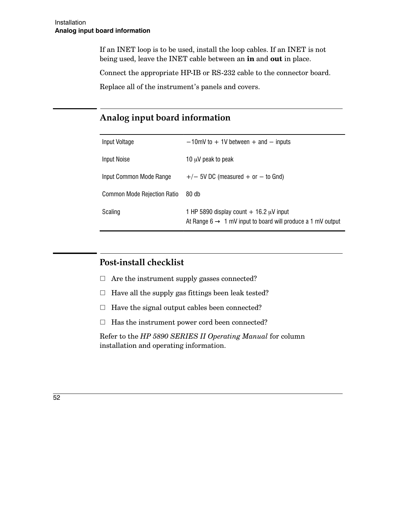If an INET loop is to be used, install the loop cables. If an INET is not being used, leave the INET cable between an in and out in place.

Connect the appropriate HP-IB or RS-232 cable to the connector board.

Replace all of the instrument's panels and covers.

# Analog input board information

| Input Voltage               | $-10$ mV to $+1V$ between $+$ and $-$ inputs                                                                              |
|-----------------------------|---------------------------------------------------------------------------------------------------------------------------|
| Input Noise                 | 10 $\mu$ V peak to peak                                                                                                   |
| Input Common Mode Range     | $+/-$ 5V DC (measured + or $-$ to Gnd)                                                                                    |
| Common Mode Rejection Ratio | 80 <sub>db</sub>                                                                                                          |
| Scaling                     | 1 HP 5890 display count $+$ 16.2 $\mu$ V input<br>At Range $6 \rightarrow 1$ mV input to board will produce a 1 mV output |

## Post-install checklist

- $\Box$  Are the instrument supply gasses connected?
- $\Box$  Have all the supply gas fittings been leak tested?
- $\Box$  Have the signal output cables been connected?
- $\Box$  Has the instrument power cord been connected?

Refer to the HP 5890 SERIES II Operating Manual for column installation and operating information.